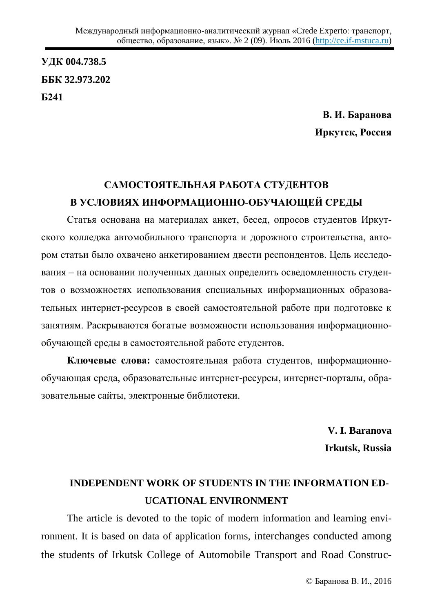**ɍȾɄ 004.738.5 ȻȻɄ 32.973.202 G241** 

> В. И. Баранова **Иркутск, Россия**

## САМОСТОЯТЕЛЬНАЯ РАБОТА СТУДЕНТОВ **ȼ ɍɋɅɈȼɂəɏ ɂɇɎɈɊɆȺɐɂɈɇɇɈ-ɈȻɍɑȺɘЩȿɃ ɋɊȿȾɕ**

Статья основана на материалах анкет, бесед, опросов студентов Иркутского колледжа автомобильного транспорта и дорожного строительства, автором статьи было охвачено анкетированием двести респондентов. Цель исследования – на основании полученных данных определить осведомленность студентов о возможностях использования специальных информационных образовательных интернет-ресурсов в своей самостоятельной работе при подготовке к занятиям. Раскрываются богатые возможности использования информационнообучающей среды в самостоятельной работе студентов.

Ключевые слова: самостоятельная работа студентов, информационнообучающая среда, образовательные интернет-ресурсы, интернет-порталы, образовательные сайты, электронные библиотеки.

> **V. I. Baranova Irkutsk, Russia**

## **INDEPENDENT WORK OF STUDENTS IN THE INFORMATION ED-UCATIONAL ENVIRONMENT**

The article is devoted to the topic of modern information and learning environment. It is based on data of application forms, interchanges conducted among the students of Irkutsk College of Automobile Transport and Road Construc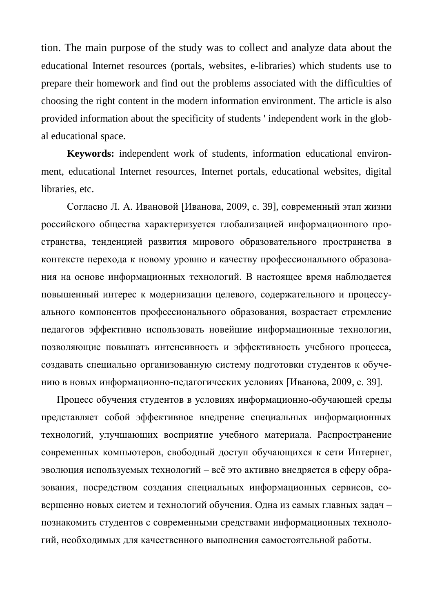tion. The main purpose of the study was to collect and analyze data about the educational Internet resources (portals, websites, e-libraries) which students use to prepare their homework and find out the problems associated with the difficulties of choosing the right content in the modern information environment. The article is also provided information about the specificity of students ' independent work in the global educational space.

**Keywords:** independent work of students, information educational environment, educational Internet resources, Internet portals, educational websites, digital libraries, etc.

Согласно Л. А. Ивановой [Иванова, 2009, с. 39], современный этап жизни российского общества характеризуется глобализацией информационного пространства, тенденцией развития мирового образовательного пространства в контексте перехода к новому уровню и качеству профессионального образования на основе информационных технологий. В настоящее время наблюдается повышенный интерес к модернизации целевого, содержательного и процессуального компонентов профессионального образования, возрастает стремление педагогов эффективно использовать новейшие информационные технологии, позволяющие повышать интенсивность и эффективность учебного процесса, создавать специально организованную систему подготовки студентов к обучению в новых информационно-педагогических условиях [Иванова, 2009, с. 39].

Процесс обучения студентов в условиях информационно-обучающей среды представляет собой эффективное внедрение специальных информационных технологий, улучшающих восприятие учебного материала. Распространение современных компьютеров, свободный доступ обучающихся к сети Интернет, эволюция используемых технологий – всё это активно внедряется в сферу образования, посредством создания специальных информационных сервисов, совершенно новых систем и технологий обучения. Одна из самых главных задач познакомить студентов с современными средствами информационных технологий, необходимых для качественного выполнения самостоятельной работы.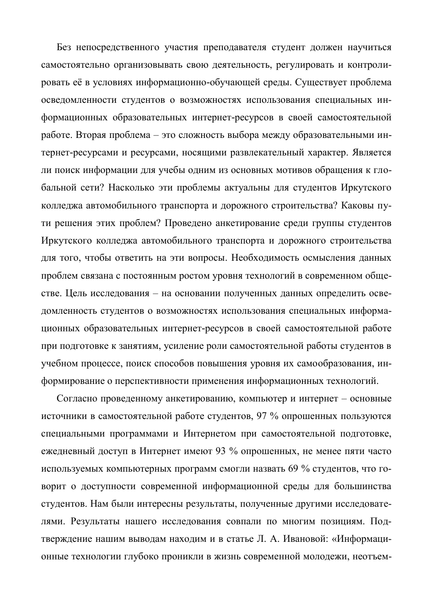Без непосредственного участия преподавателя студент должен научиться самостоятельно организовывать свою деятельность, регулировать и контролировать её в условиях информационно-обучающей среды. Существует проблема осведомленности студентов о возможностях использования специальных информационных образовательных интернет-ресурсов в своей самостоятельной работе. Вторая проблема – это сложность выбора между образовательными интернет-ресурсами и ресурсами, носящими развлекательный характер. Является ли поиск информации для учебы одним из основных мотивов обращения к глобальной сети? Насколько эти проблемы актуальны для студентов Иркутского колледжа автомобильного транспорта и дорожного строительства? Каковы пути решения этих проблем? Проведено анкетирование среди группы студентов Иркутского колледжа автомобильного транспорта и дорожного строительства для того, чтобы ответить на эти вопросы. Необходимость осмысления данных проблем связана с постоянным ростом уровня технологий в современном обществе. Цель исследования – на основании полученных данных определить осведомленность студентов о возможностях использования специальных информационных образовательных интернет-ресурсов в своей самостоятельной работе при подготовке к занятиям, усиление роли самостоятельной работы студентов в учебном процессе, поиск способов повышения уровня их самообразования, информирование о перспективности применения информационных технологий.

Согласно проведенному анкетированию, компьютер и интернет – основные источники в самостоятельной работе студентов, 97 % опрошенных пользуются специальными программами и Интернетом при самостоятельной подготовке, ежедневный доступ в Интернет имеют 93 % опрошенных, не менее пяти часто используемых компьютерных программ смогли назвать 69 % студентов, что говорит о доступности современной информационной среды для большинства студентов. Нам были интересны результаты, полученные другими исследователями. Результаты нашего исследования совпали по многим позициям. Подтверждение нашим выводам находим и в статье Л. А. Ивановой: «Информационные технологии глубоко проникли в жизнь современной молодежи, неотъем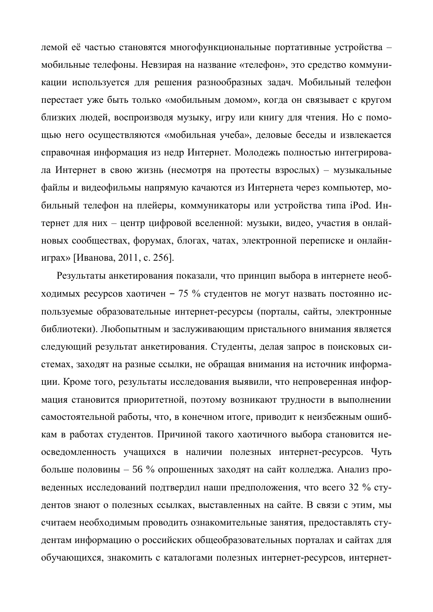лемой её частью становятся многофункциональные портативные устройства мобильные телефоны. Невзирая на название «телефон», это средство коммуникации используется для решения разнообразных задач. Мобильный телефон перестает уже быть только «мобильным домом», когда он связывает с кругом близких людей, воспроизводя музыку, игру или книгу для чтения. Но с помощью него осуществляются «мобильная учеба», деловые беседы и извлекается справочная информация из недр Интернет. Молодежь полностью интегрировала Интернет в свою жизнь (несмотря на протесты взрослых) – музыкальные файлы и видеофильмы напрямую качаются из Интернета через компьютер, мобильный телефон на плейеры, коммуникаторы или устройства типа iPod. Интернет для них – центр цифровой вселенной: музыки, видео, участия в онлайновых сообществах, форумах, блогах, чатах, электронной переписке и онлайниграх» [Иванова, 2011, с. 256].

Результаты анкетирования показали, что принцип выбора в интернете необходимых ресурсов хаотичен - 75 % студентов не могут назвать постоянно используемые образовательные интернет-ресурсы (порталы, сайты, электронные библиотеки). Любопытным и заслуживающим пристального внимания является следующий результат анкетирования. Студенты, делая запрос в поисковых системах, заходят на разные ссылки, не обращая внимания на источник информации. Кроме того, результаты исследования выявили, что непроверенная информация становится приоритетной, поэтому возникают трудности в выполнении самостоятельной работы, что, в конечном итоге, приводит к неизбежным ошибкам в работах студентов. Причиной такого хаотичного выбора становится неосведомленность учащихся в наличии полезных интернет-ресурсов. Чуть больше половины – 56 % опрошенных заходят на сайт колледжа. Анализ проведенных исследований подтвердил наши предположения, что всего 32 % студентов знают о полезных ссылках, выставленных на сайте. В связи с этим, мы считаем необходимым проводить ознакомительные занятия, предоставлять студентам информацию о российских общеобразовательных порталах и сайтах для обучающихся, знакомить с каталогами полезных интернет-ресурсов, интернет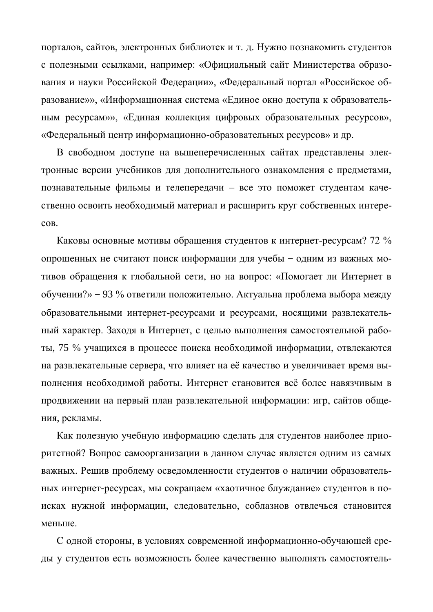порталов, сайтов, электронных библиотек и т. д. Нужно познакомить студентов с полезными ссылками, например: «Официальный сайт Министерства образования и науки Российской Федерации», «Федеральный портал «Российское образование»», «Информационная система «Единое окно доступа к образовательным ресурсам»», «Единая коллекция цифровых образовательных ресурсов», «Федеральный центр информационно-образовательных ресурсов» и др.

В свободном доступе на вышеперечисленных сайтах представлены электронные версии учебников для дополнительного ознакомления с предметами, познавательные фильмы и телепередачи – все это поможет студентам качественно освоить необходимый материал и расширить круг собственных интере-COB.

Каковы основные мотивы обращения студентов к интернет-ресурсам? 72 % опрошенных не считают поиск информации для учебы - одним из важных мотивов обращения к глобальной сети, но на вопрос: «Помогает ли Интернет в обучении?» – 93 % ответили положительно. Актуальна проблема выбора между образовательными интернет-ресурсами и ресурсами, носящими развлекательный характер. Заходя в Интернет, с целью выполнения самостоятельной работы, 75 % учащихся в процессе поиска необходимой информации, отвлекаются на развлекательные сервера, что влияет на её качество и увеличивает время выполнения необходимой работы. Интернет становится всё более навязчивым в продвижении на первый план развлекательной информации: игр, сайтов общения, рекламы.

Как полезную учебную информацию сделать для студентов наиболее приоритетной? Вопрос самоорганизации в данном случае является одним из самых важных. Решив проблему осведомленности студентов о наличии образовательных интернет-ресурсах, мы сокращаем «хаотичное блуждание» студентов в поисках нужной информации, следовательно, соблазнов отвлечься становится меньше.

С одной стороны, в условиях современной информационно-обучающей среды у студентов есть возможность более качественно выполнять самостоятель